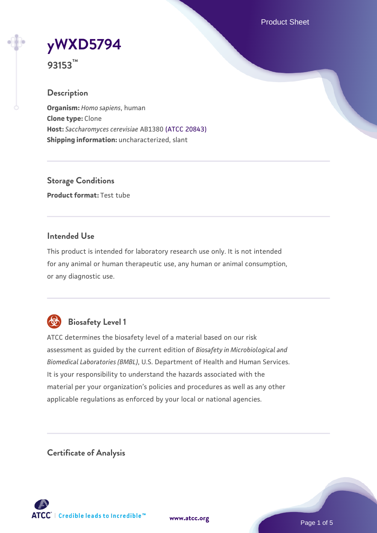Product Sheet



**93153™**

## **Description**

**Organism:** *Homo sapiens*, human **Clone type:** Clone **Host:** *Saccharomyces cerevisiae* AB1380 [\(ATCC 20843\)](https://www.atcc.org/products/20843) **Shipping information:** uncharacterized, slant

**Storage Conditions Product format:** Test tube

## **Intended Use**

This product is intended for laboratory research use only. It is not intended for any animal or human therapeutic use, any human or animal consumption, or any diagnostic use.



## **Biosafety Level 1**

ATCC determines the biosafety level of a material based on our risk assessment as guided by the current edition of *Biosafety in Microbiological and Biomedical Laboratories (BMBL)*, U.S. Department of Health and Human Services. It is your responsibility to understand the hazards associated with the material per your organization's policies and procedures as well as any other applicable regulations as enforced by your local or national agencies.

**Certificate of Analysis**

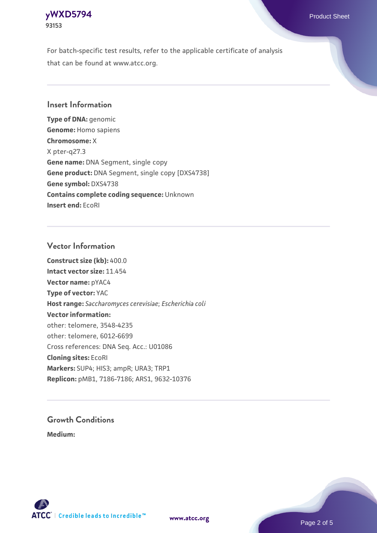#### **[yWXD5794](https://www.atcc.org/products/93153)** Product Sheet **93153**

For batch-specific test results, refer to the applicable certificate of analysis that can be found at www.atcc.org.

#### **Insert Information**

**Type of DNA:** genomic **Genome:** Homo sapiens **Chromosome:** X X pter-q27.3 **Gene name:** DNA Segment, single copy **Gene product:** DNA Segment, single copy [DXS4738] **Gene symbol:** DXS4738 **Contains complete coding sequence:** Unknown **Insert end:** EcoRI

#### **Vector Information**

**Construct size (kb):** 400.0 **Intact vector size:** 11.454 **Vector name:** pYAC4 **Type of vector:** YAC **Host range:** *Saccharomyces cerevisiae*; *Escherichia coli* **Vector information:** other: telomere, 3548-4235 other: telomere, 6012-6699 Cross references: DNA Seq. Acc.: U01086 **Cloning sites:** EcoRI **Markers:** SUP4; HIS3; ampR; URA3; TRP1 **Replicon:** pMB1, 7186-7186; ARS1, 9632-10376

# **Growth Conditions**

**Medium:** 



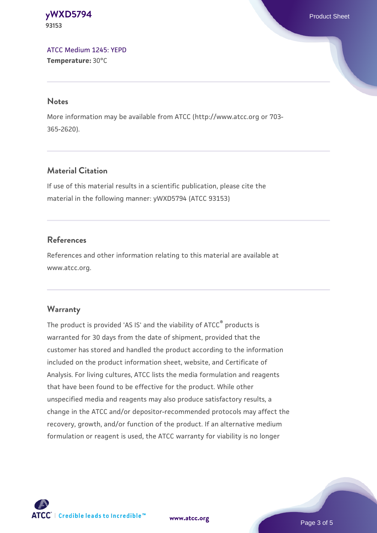**[yWXD5794](https://www.atcc.org/products/93153)** Product Sheet **93153**

[ATCC Medium 1245: YEPD](https://www.atcc.org/-/media/product-assets/documents/microbial-media-formulations/1/2/4/5/atcc-medium-1245.pdf?rev=705ca55d1b6f490a808a965d5c072196) **Temperature:** 30°C

#### **Notes**

More information may be available from ATCC (http://www.atcc.org or 703- 365-2620).

## **Material Citation**

If use of this material results in a scientific publication, please cite the material in the following manner: yWXD5794 (ATCC 93153)

## **References**

References and other information relating to this material are available at www.atcc.org.

#### **Warranty**

The product is provided 'AS IS' and the viability of ATCC® products is warranted for 30 days from the date of shipment, provided that the customer has stored and handled the product according to the information included on the product information sheet, website, and Certificate of Analysis. For living cultures, ATCC lists the media formulation and reagents that have been found to be effective for the product. While other unspecified media and reagents may also produce satisfactory results, a change in the ATCC and/or depositor-recommended protocols may affect the recovery, growth, and/or function of the product. If an alternative medium formulation or reagent is used, the ATCC warranty for viability is no longer



**[www.atcc.org](http://www.atcc.org)**

Page 3 of 5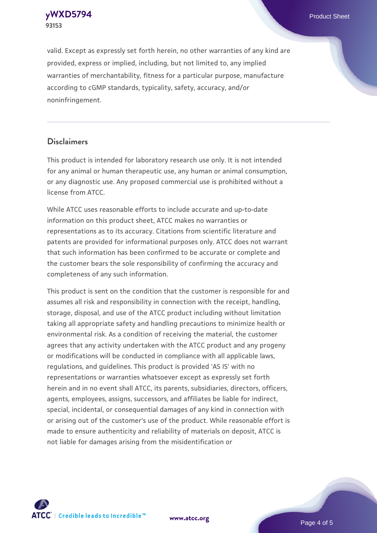**[yWXD5794](https://www.atcc.org/products/93153)** Product Sheet **93153**

valid. Except as expressly set forth herein, no other warranties of any kind are provided, express or implied, including, but not limited to, any implied warranties of merchantability, fitness for a particular purpose, manufacture according to cGMP standards, typicality, safety, accuracy, and/or noninfringement.

#### **Disclaimers**

This product is intended for laboratory research use only. It is not intended for any animal or human therapeutic use, any human or animal consumption, or any diagnostic use. Any proposed commercial use is prohibited without a license from ATCC.

While ATCC uses reasonable efforts to include accurate and up-to-date information on this product sheet, ATCC makes no warranties or representations as to its accuracy. Citations from scientific literature and patents are provided for informational purposes only. ATCC does not warrant that such information has been confirmed to be accurate or complete and the customer bears the sole responsibility of confirming the accuracy and completeness of any such information.

This product is sent on the condition that the customer is responsible for and assumes all risk and responsibility in connection with the receipt, handling, storage, disposal, and use of the ATCC product including without limitation taking all appropriate safety and handling precautions to minimize health or environmental risk. As a condition of receiving the material, the customer agrees that any activity undertaken with the ATCC product and any progeny or modifications will be conducted in compliance with all applicable laws, regulations, and guidelines. This product is provided 'AS IS' with no representations or warranties whatsoever except as expressly set forth herein and in no event shall ATCC, its parents, subsidiaries, directors, officers, agents, employees, assigns, successors, and affiliates be liable for indirect, special, incidental, or consequential damages of any kind in connection with or arising out of the customer's use of the product. While reasonable effort is made to ensure authenticity and reliability of materials on deposit, ATCC is not liable for damages arising from the misidentification or



**[www.atcc.org](http://www.atcc.org)**

Page 4 of 5